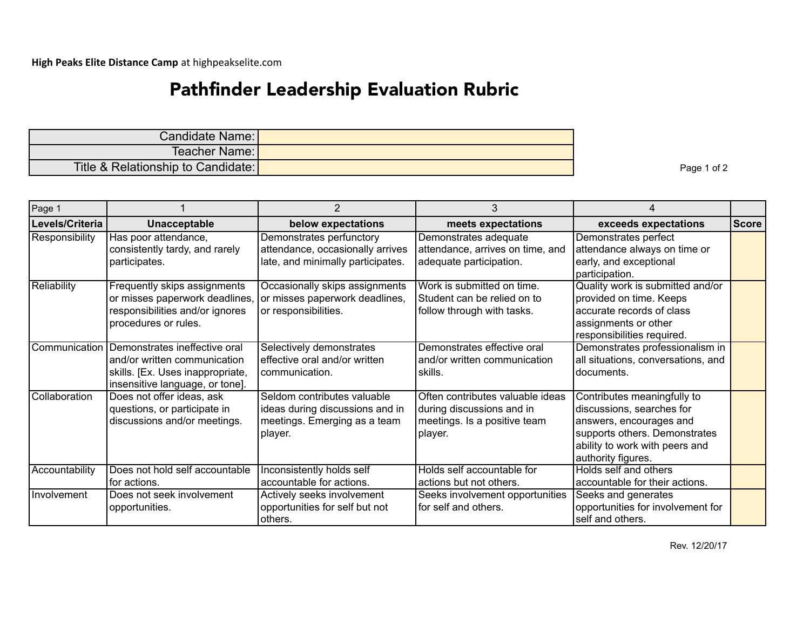## Pathfinder Leadership Evaluation Rubric

| Candidate Name:                    |  |
|------------------------------------|--|
| Teacher Name: I                    |  |
| Title & Relationship to Candidate: |  |

Page 1 of 2

| Page 1          |                                                                                                                                                    |                                                                                                           | 3                                                                                                        |                                                                                                                                                                              |              |
|-----------------|----------------------------------------------------------------------------------------------------------------------------------------------------|-----------------------------------------------------------------------------------------------------------|----------------------------------------------------------------------------------------------------------|------------------------------------------------------------------------------------------------------------------------------------------------------------------------------|--------------|
| Levels/Criteria | Unacceptable                                                                                                                                       | below expectations                                                                                        | meets expectations                                                                                       | exceeds expectations                                                                                                                                                         | <b>Score</b> |
| Responsibility  | Has poor attendance,<br>consistently tardy, and rarely<br>participates.                                                                            | Demonstrates perfunctory<br>attendance, occasionally arrives<br>late, and minimally participates.         | Demonstrates adequate<br>attendance, arrives on time, and<br>adequate participation.                     | Demonstrates perfect<br>attendance always on time or<br>early, and exceptional<br>participation.                                                                             |              |
| Reliability     | Frequently skips assignments<br>or misses paperwork deadlines,<br>responsibilities and/or ignores<br>procedures or rules.                          | Occasionally skips assignments<br>or misses paperwork deadlines,<br>or responsibilities.                  | Work is submitted on time.<br>Student can be relied on to<br>follow through with tasks.                  | Quality work is submitted and/or<br>provided on time. Keeps<br>accurate records of class<br>assignments or other<br>responsibilities required.                               |              |
|                 | Communication Demonstrates ineffective oral<br>and/or written communication<br>skills. [Ex. Uses inappropriate,<br>insensitive language, or tone]. | Selectively demonstrates<br>effective oral and/or written<br>communication.                               | Demonstrates effective oral<br>and/or written communication<br>skills.                                   | Demonstrates professionalism in<br>all situations, conversations, and<br>documents.                                                                                          |              |
| Collaboration   | Does not offer ideas, ask<br>questions, or participate in<br>discussions and/or meetings.                                                          | Seldom contributes valuable<br>ideas during discussions and in<br>meetings. Emerging as a team<br>player. | Often contributes valuable ideas<br>during discussions and in<br>meetings. Is a positive team<br>player. | Contributes meaningfully to<br>discussions, searches for<br>answers, encourages and<br>supports others. Demonstrates<br>ability to work with peers and<br>authority figures. |              |
| Accountability  | Does not hold self accountable<br>for actions.                                                                                                     | Inconsistently holds self<br>accountable for actions.                                                     | Holds self accountable for<br>actions but not others.                                                    | Holds self and others<br>accountable for their actions.                                                                                                                      |              |
| Involvement     | Does not seek involvement<br>opportunities.                                                                                                        | Actively seeks involvement<br>opportunities for self but not<br>lothers.                                  | Seeks involvement opportunities<br>for self and others.                                                  | Seeks and generates<br>opportunities for involvement for<br>self and others.                                                                                                 |              |